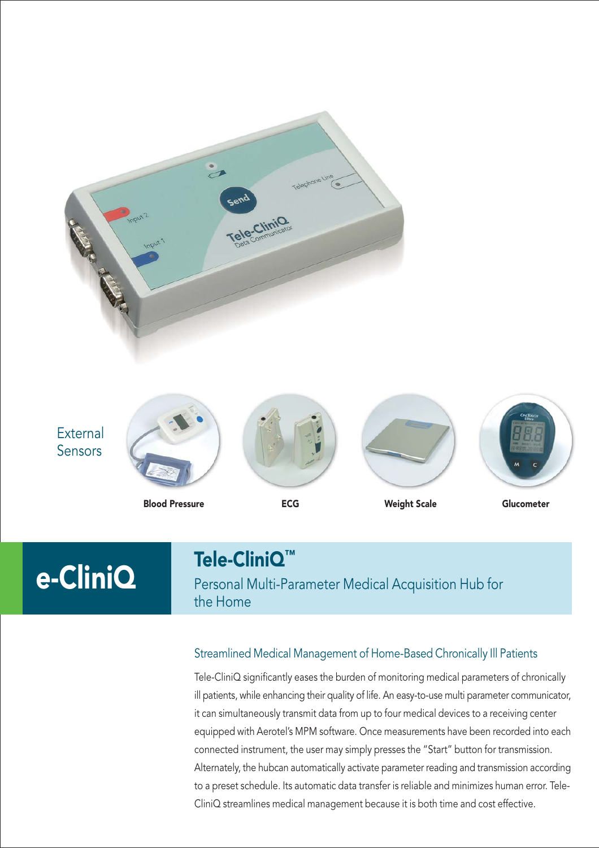

Blood Pressure ECG Weight Scale Glucometer



## Tele-CliniQ™

Personal Multi-Parameter Medical Acquisition Hub for the Home

#### Streamlined Medical Management of Home-Based Chronically Ill Patients

Tele-CliniQ significantly eases the burden of monitoring medical parameters of chronically ill patients, while enhancing their quality of life. An easy-to-use multi parameter communicator, it can simultaneously transmit data from up to four medical devices to a receiving center equipped with Aerotel's MPM software. Once measurements have been recorded into each connected instrument, the user may simply presses the "Start" button for transmission. Alternately, the hubcan automatically activate parameter reading and transmission according to a preset schedule. Its automatic data transfer is reliable and minimizes human error. Tele-CliniQ streamlines medical management because it is both time and cost effective.